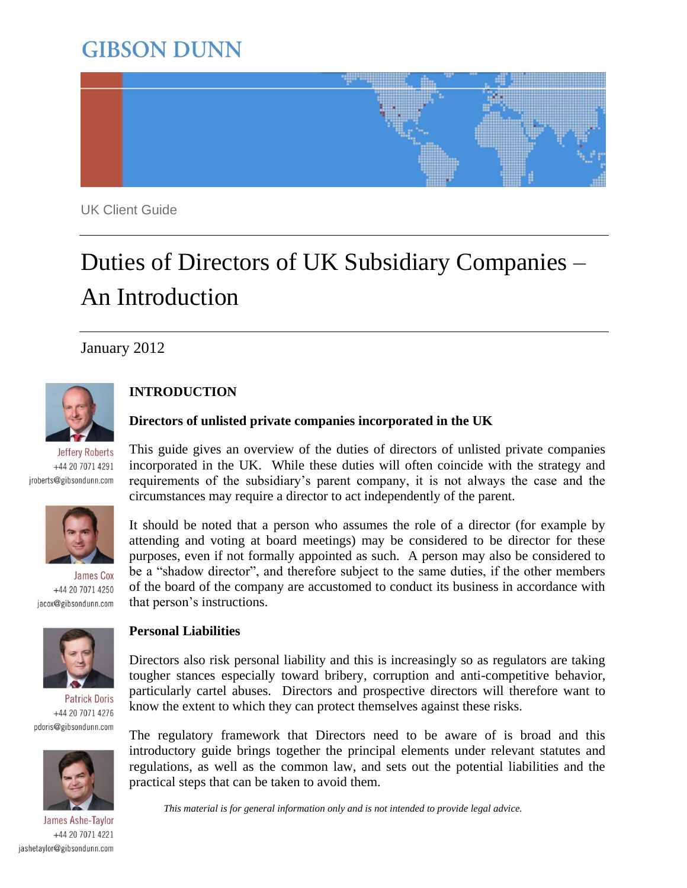## **GIBSON DUNN**



UK Client Guide

# Duties of Directors of UK Subsidiary Companies – An Introduction

January 2012



**Jeffery Roberts** +44 20 7071 4291 jroberts@gibsondunn.com



James Cox +44 20 7071 4250 jacox@gibsondunn.com



**Patrick Doris** +44 20 7071 4276 pdoris@gibsondunn.com



James Ashe-Taylor +44 20 7071 4221 jashetaylor@gibsondunn.com

## **INTRODUCTION**

#### **Directors of unlisted private companies incorporated in the UK**

This guide gives an overview of the duties of directors of unlisted private companies incorporated in the UK. While these duties will often coincide with the strategy and requirements of the subsidiary"s parent company, it is not always the case and the circumstances may require a director to act independently of the parent.

It should be noted that a person who assumes the role of a director (for example by attending and voting at board meetings) may be considered to be director for these purposes, even if not formally appointed as such. A person may also be considered to be a "shadow director", and therefore subject to the same duties, if the other members of the board of the company are accustomed to conduct its business in accordance with that person"s instructions.

#### **Personal Liabilities**

Directors also risk personal liability and this is increasingly so as regulators are taking tougher stances especially toward bribery, corruption and anti-competitive behavior, particularly cartel abuses. Directors and prospective directors will therefore want to know the extent to which they can protect themselves against these risks.

The regulatory framework that Directors need to be aware of is broad and this introductory guide brings together the principal elements under relevant statutes and regulations, as well as the common law, and sets out the potential liabilities and the practical steps that can be taken to avoid them.

*This material is for general information only and is not intended to provide legal advice.*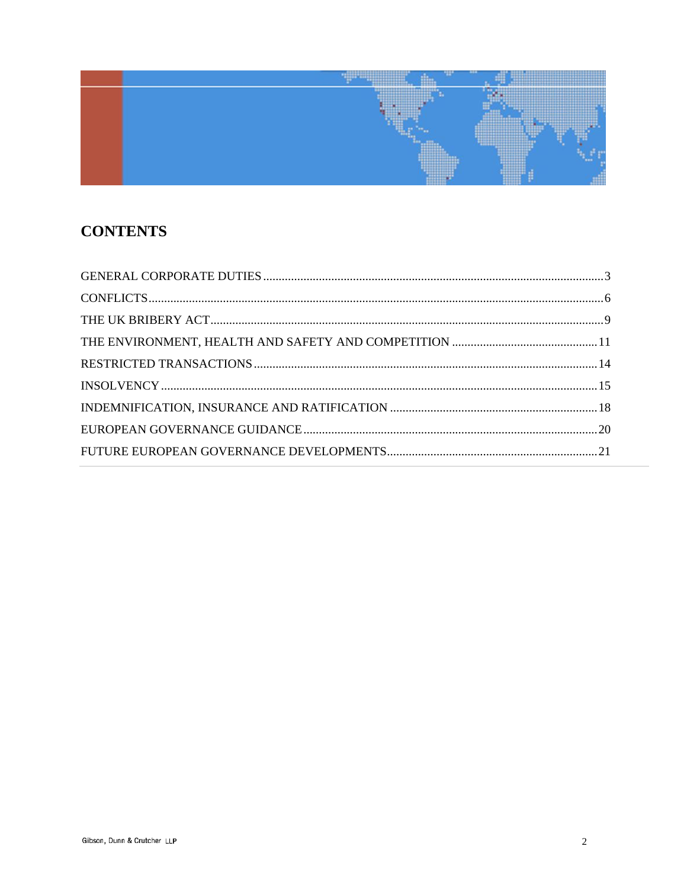

## **CONTENTS**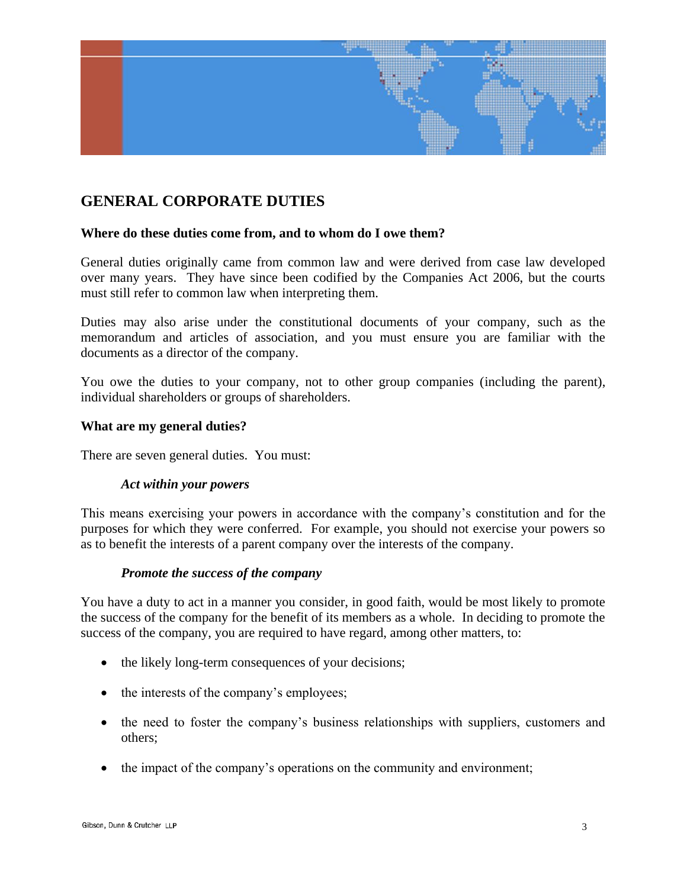

## **GENERAL CORPORATE DUTIES**

#### **Where do these duties come from, and to whom do I owe them?**

General duties originally came from common law and were derived from case law developed over many years. They have since been codified by the Companies Act 2006, but the courts must still refer to common law when interpreting them.

Duties may also arise under the constitutional documents of your company, such as the memorandum and articles of association, and you must ensure you are familiar with the documents as a director of the company.

You owe the duties to your company, not to other group companies (including the parent), individual shareholders or groups of shareholders.

#### **What are my general duties?**

There are seven general duties. You must:

#### *Act within your powers*

This means exercising your powers in accordance with the company"s constitution and for the purposes for which they were conferred. For example, you should not exercise your powers so as to benefit the interests of a parent company over the interests of the company.

#### *Promote the success of the company*

You have a duty to act in a manner you consider, in good faith, would be most likely to promote the success of the company for the benefit of its members as a whole. In deciding to promote the success of the company, you are required to have regard, among other matters, to:

- the likely long-term consequences of your decisions;
- the interests of the company's employees;
- the need to foster the company's business relationships with suppliers, customers and others;
- the impact of the company's operations on the community and environment;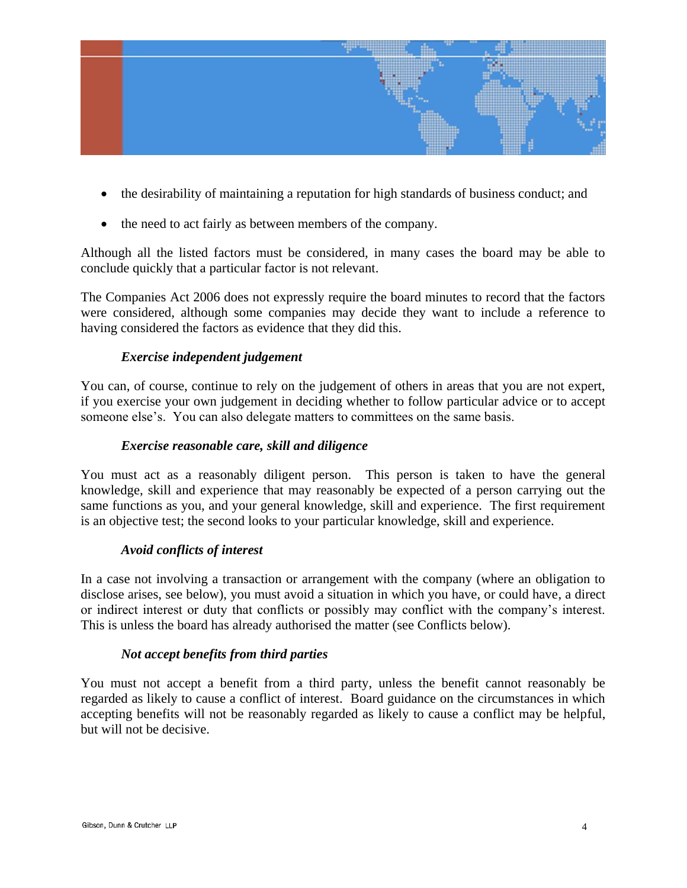

- the desirability of maintaining a reputation for high standards of business conduct; and
- the need to act fairly as between members of the company.

Although all the listed factors must be considered, in many cases the board may be able to conclude quickly that a particular factor is not relevant.

The Companies Act 2006 does not expressly require the board minutes to record that the factors were considered, although some companies may decide they want to include a reference to having considered the factors as evidence that they did this.

#### *Exercise independent judgement*

You can, of course, continue to rely on the judgement of others in areas that you are not expert, if you exercise your own judgement in deciding whether to follow particular advice or to accept someone else's. You can also delegate matters to committees on the same basis.

#### *Exercise reasonable care, skill and diligence*

You must act as a reasonably diligent person. This person is taken to have the general knowledge, skill and experience that may reasonably be expected of a person carrying out the same functions as you, and your general knowledge, skill and experience. The first requirement is an objective test; the second looks to your particular knowledge, skill and experience.

#### *Avoid conflicts of interest*

In a case not involving a transaction or arrangement with the company (where an obligation to disclose arises, see below), you must avoid a situation in which you have, or could have, a direct or indirect interest or duty that conflicts or possibly may conflict with the company"s interest. This is unless the board has already authorised the matter (see Conflicts below).

#### *Not accept benefits from third parties*

You must not accept a benefit from a third party, unless the benefit cannot reasonably be regarded as likely to cause a conflict of interest. Board guidance on the circumstances in which accepting benefits will not be reasonably regarded as likely to cause a conflict may be helpful, but will not be decisive.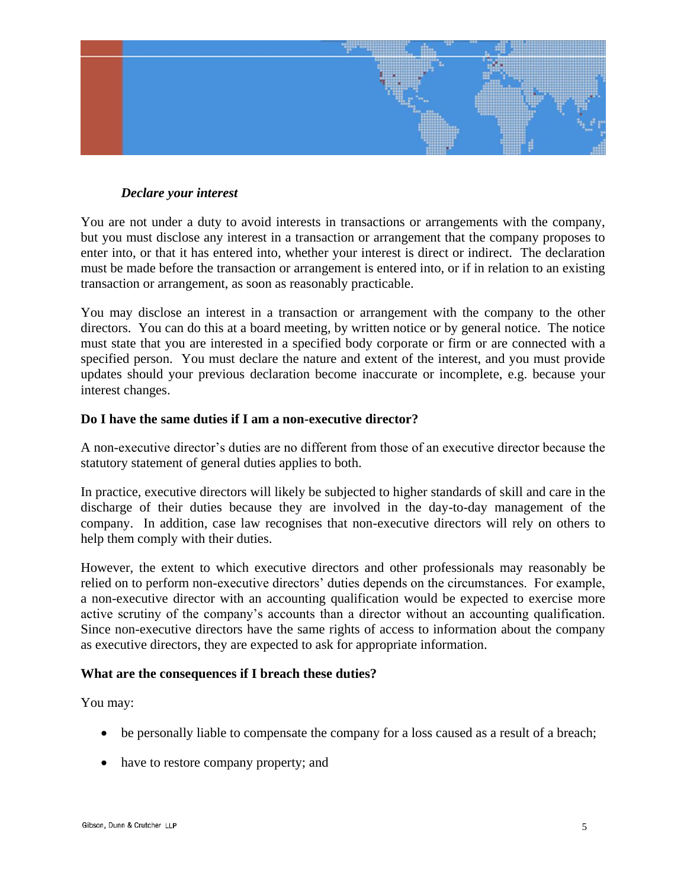

#### *Declare your interest*

You are not under a duty to avoid interests in transactions or arrangements with the company, but you must disclose any interest in a transaction or arrangement that the company proposes to enter into, or that it has entered into, whether your interest is direct or indirect. The declaration must be made before the transaction or arrangement is entered into, or if in relation to an existing transaction or arrangement, as soon as reasonably practicable.

You may disclose an interest in a transaction or arrangement with the company to the other directors. You can do this at a board meeting, by written notice or by general notice. The notice must state that you are interested in a specified body corporate or firm or are connected with a specified person. You must declare the nature and extent of the interest, and you must provide updates should your previous declaration become inaccurate or incomplete, e.g. because your interest changes.

#### **Do I have the same duties if I am a non-executive director?**

A non-executive director"s duties are no different from those of an executive director because the statutory statement of general duties applies to both.

In practice, executive directors will likely be subjected to higher standards of skill and care in the discharge of their duties because they are involved in the day-to-day management of the company. In addition, case law recognises that non-executive directors will rely on others to help them comply with their duties.

However, the extent to which executive directors and other professionals may reasonably be relied on to perform non-executive directors" duties depends on the circumstances. For example, a non-executive director with an accounting qualification would be expected to exercise more active scrutiny of the company"s accounts than a director without an accounting qualification. Since non-executive directors have the same rights of access to information about the company as executive directors, they are expected to ask for appropriate information.

#### **What are the consequences if I breach these duties?**

You may:

- be personally liable to compensate the company for a loss caused as a result of a breach;
- have to restore company property; and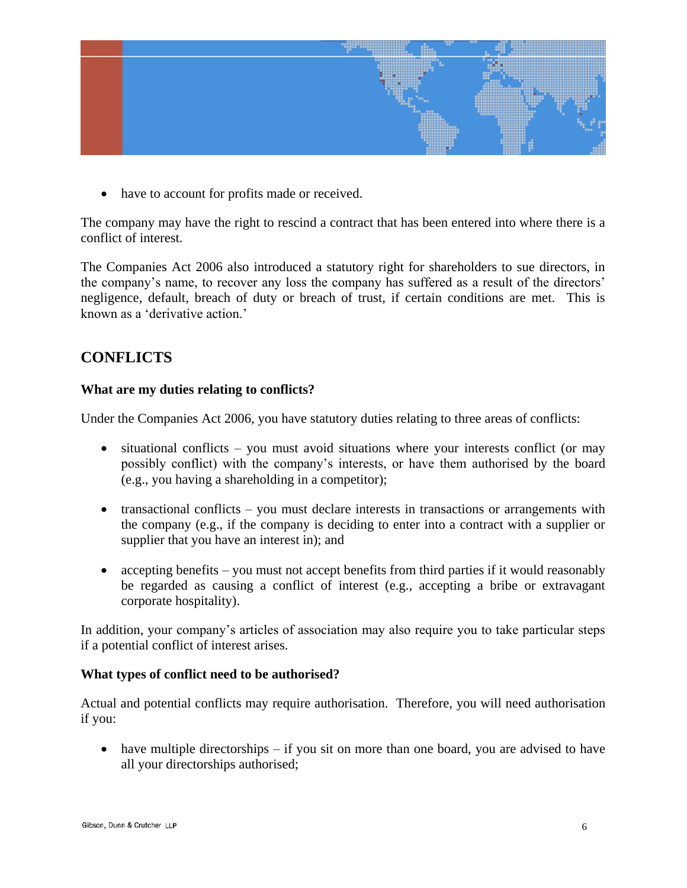

• have to account for profits made or received.

The company may have the right to rescind a contract that has been entered into where there is a conflict of interest.

The Companies Act 2006 also introduced a statutory right for shareholders to sue directors, in the company"s name, to recover any loss the company has suffered as a result of the directors" negligence, default, breach of duty or breach of trust, if certain conditions are met. This is known as a 'derivative action.'

## **CONFLICTS**

#### **What are my duties relating to conflicts?**

Under the Companies Act 2006, you have statutory duties relating to three areas of conflicts:

- situational conflicts you must avoid situations where your interests conflict (or may possibly conflict) with the company"s interests, or have them authorised by the board (e.g., you having a shareholding in a competitor);
- transactional conflicts you must declare interests in transactions or arrangements with the company (e.g., if the company is deciding to enter into a contract with a supplier or supplier that you have an interest in); and
- accepting benefits you must not accept benefits from third parties if it would reasonably be regarded as causing a conflict of interest (e.g., accepting a bribe or extravagant corporate hospitality).

In addition, your company"s articles of association may also require you to take particular steps if a potential conflict of interest arises.

#### **What types of conflict need to be authorised?**

Actual and potential conflicts may require authorisation. Therefore, you will need authorisation if you:

• have multiple directorships – if you sit on more than one board, you are advised to have all your directorships authorised;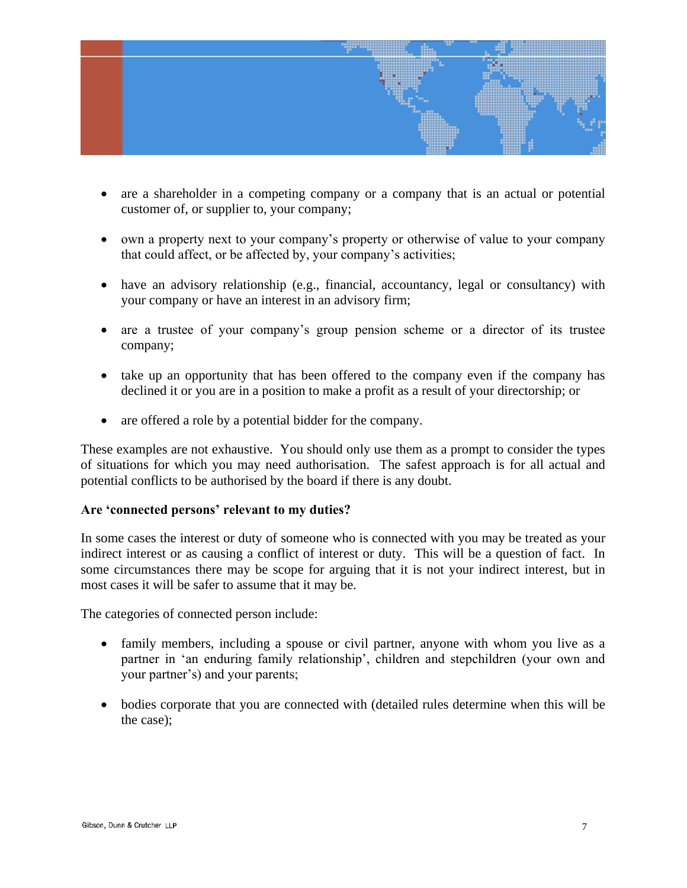

- are a shareholder in a competing company or a company that is an actual or potential customer of, or supplier to, your company;
- own a property next to your company"s property or otherwise of value to your company that could affect, or be affected by, your company's activities;
- have an advisory relationship (e.g., financial, accountancy, legal or consultancy) with your company or have an interest in an advisory firm;
- are a trustee of your company"s group pension scheme or a director of its trustee company;
- take up an opportunity that has been offered to the company even if the company has declined it or you are in a position to make a profit as a result of your directorship; or
- are offered a role by a potential bidder for the company.

These examples are not exhaustive. You should only use them as a prompt to consider the types of situations for which you may need authorisation. The safest approach is for all actual and potential conflicts to be authorised by the board if there is any doubt.

#### **Are 'connected persons' relevant to my duties?**

In some cases the interest or duty of someone who is connected with you may be treated as your indirect interest or as causing a conflict of interest or duty. This will be a question of fact. In some circumstances there may be scope for arguing that it is not your indirect interest, but in most cases it will be safer to assume that it may be.

The categories of connected person include:

- family members, including a spouse or civil partner, anyone with whom you live as a partner in 'an enduring family relationship', children and stepchildren (your own and your partner"s) and your parents;
- bodies corporate that you are connected with (detailed rules determine when this will be the case);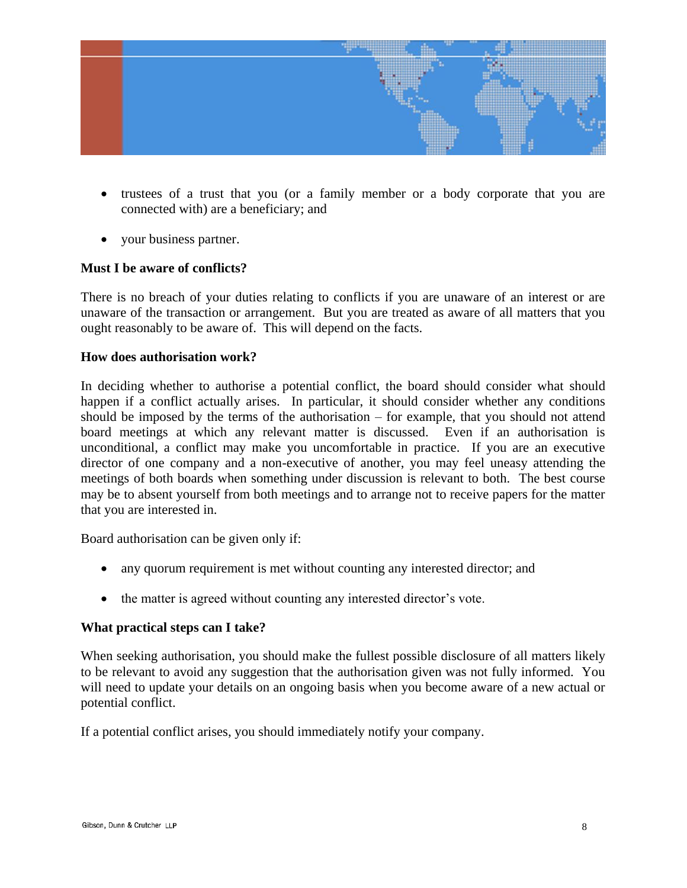

- trustees of a trust that you (or a family member or a body corporate that you are connected with) are a beneficiary; and
- your business partner.

#### **Must I be aware of conflicts?**

There is no breach of your duties relating to conflicts if you are unaware of an interest or are unaware of the transaction or arrangement. But you are treated as aware of all matters that you ought reasonably to be aware of. This will depend on the facts.

#### **How does authorisation work?**

In deciding whether to authorise a potential conflict, the board should consider what should happen if a conflict actually arises. In particular, it should consider whether any conditions should be imposed by the terms of the authorisation – for example, that you should not attend board meetings at which any relevant matter is discussed. Even if an authorisation is unconditional, a conflict may make you uncomfortable in practice. If you are an executive director of one company and a non-executive of another, you may feel uneasy attending the meetings of both boards when something under discussion is relevant to both. The best course may be to absent yourself from both meetings and to arrange not to receive papers for the matter that you are interested in.

Board authorisation can be given only if:

- any quorum requirement is met without counting any interested director; and
- the matter is agreed without counting any interested director's vote.

#### **What practical steps can I take?**

When seeking authorisation, you should make the fullest possible disclosure of all matters likely to be relevant to avoid any suggestion that the authorisation given was not fully informed. You will need to update your details on an ongoing basis when you become aware of a new actual or potential conflict.

If a potential conflict arises, you should immediately notify your company.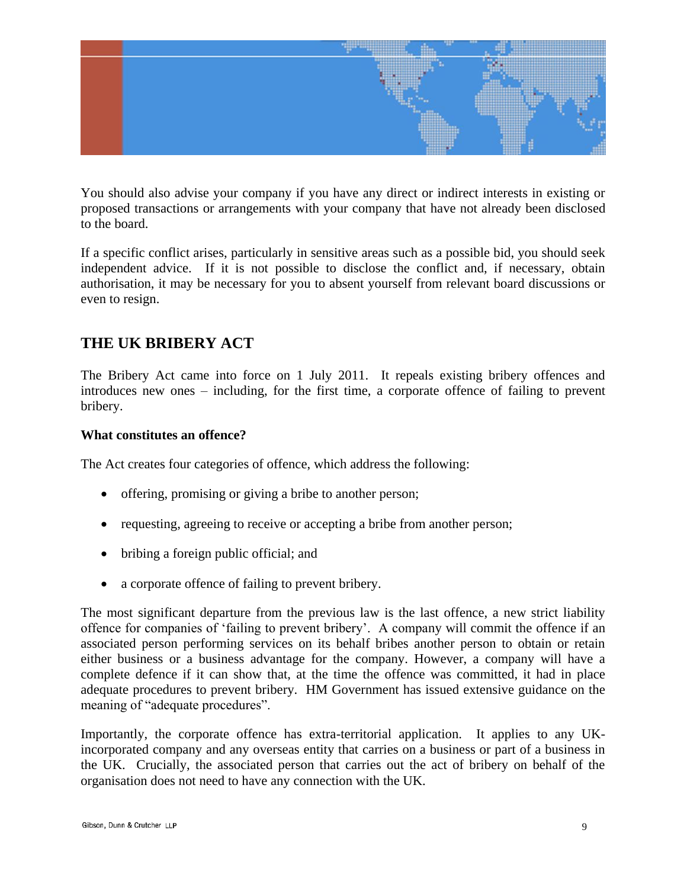

You should also advise your company if you have any direct or indirect interests in existing or proposed transactions or arrangements with your company that have not already been disclosed to the board.

If a specific conflict arises, particularly in sensitive areas such as a possible bid, you should seek independent advice. If it is not possible to disclose the conflict and, if necessary, obtain authorisation, it may be necessary for you to absent yourself from relevant board discussions or even to resign.

## **THE UK BRIBERY ACT**

The Bribery Act came into force on 1 July 2011. It repeals existing bribery offences and introduces new ones – including, for the first time, a corporate offence of failing to prevent bribery.

#### **What constitutes an offence?**

The Act creates four categories of offence, which address the following:

- offering, promising or giving a bribe to another person;
- requesting, agreeing to receive or accepting a bribe from another person;
- bribing a foreign public official; and
- a corporate offence of failing to prevent bribery.

The most significant departure from the previous law is the last offence, a new strict liability offence for companies of 'failing to prevent bribery'. A company will commit the offence if an associated person performing services on its behalf bribes another person to obtain or retain either business or a business advantage for the company. However, a company will have a complete defence if it can show that, at the time the offence was committed, it had in place adequate procedures to prevent bribery. HM Government has issued extensive guidance on the meaning of "adequate procedures".

Importantly, the corporate offence has extra-territorial application. It applies to any UKincorporated company and any overseas entity that carries on a business or part of a business in the UK. Crucially, the associated person that carries out the act of bribery on behalf of the organisation does not need to have any connection with the UK.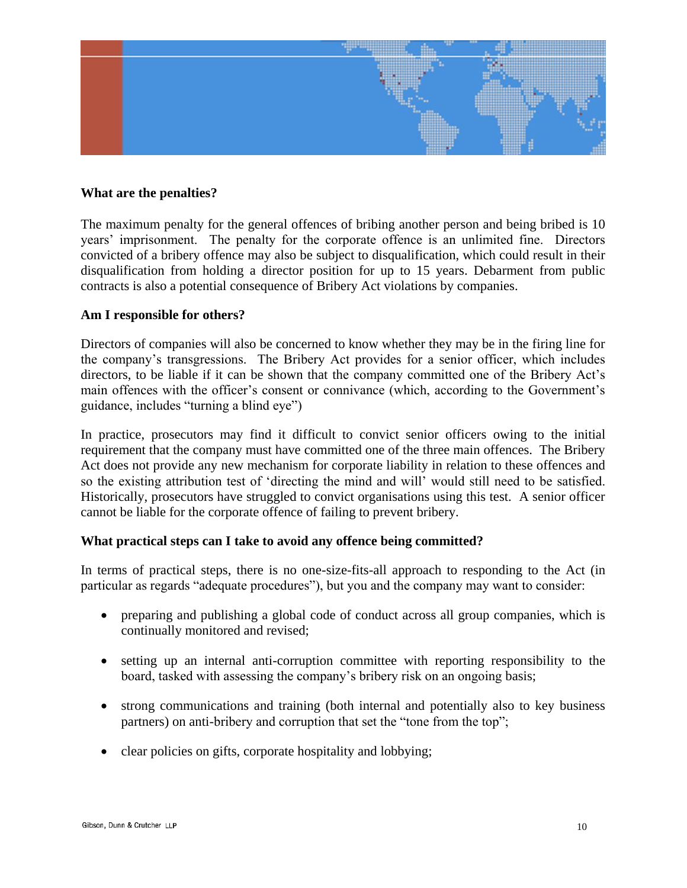

#### **What are the penalties?**

The maximum penalty for the general offences of bribing another person and being bribed is 10 years" imprisonment. The penalty for the corporate offence is an unlimited fine. Directors convicted of a bribery offence may also be subject to disqualification, which could result in their disqualification from holding a director position for up to 15 years. Debarment from public contracts is also a potential consequence of Bribery Act violations by companies.

#### **Am I responsible for others?**

Directors of companies will also be concerned to know whether they may be in the firing line for the company"s transgressions. The Bribery Act provides for a senior officer, which includes directors, to be liable if it can be shown that the company committed one of the Bribery Act's main offences with the officer's consent or connivance (which, according to the Government's guidance, includes "turning a blind eye")

In practice, prosecutors may find it difficult to convict senior officers owing to the initial requirement that the company must have committed one of the three main offences. The Bribery Act does not provide any new mechanism for corporate liability in relation to these offences and so the existing attribution test of "directing the mind and will" would still need to be satisfied. Historically, prosecutors have struggled to convict organisations using this test. A senior officer cannot be liable for the corporate offence of failing to prevent bribery.

#### **What practical steps can I take to avoid any offence being committed?**

In terms of practical steps, there is no one-size-fits-all approach to responding to the Act (in particular as regards "adequate procedures"), but you and the company may want to consider:

- preparing and publishing a global code of conduct across all group companies, which is continually monitored and revised;
- setting up an internal anti-corruption committee with reporting responsibility to the board, tasked with assessing the company"s bribery risk on an ongoing basis;
- strong communications and training (both internal and potentially also to key business partners) on anti-bribery and corruption that set the "tone from the top";
- clear policies on gifts, corporate hospitality and lobbying;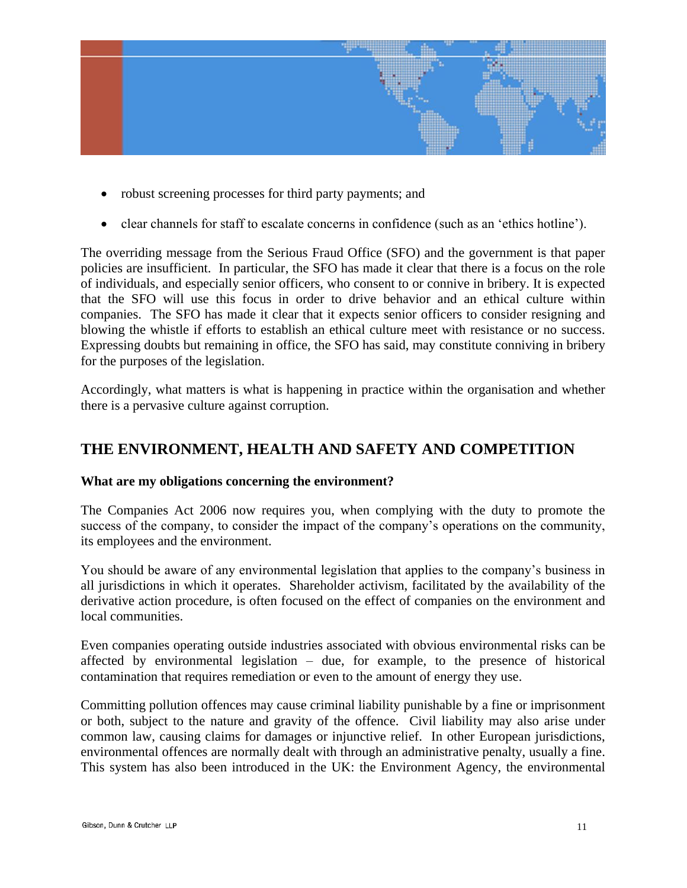

- robust screening processes for third party payments; and
- clear channels for staff to escalate concerns in confidence (such as an "ethics hotline").

The overriding message from the Serious Fraud Office (SFO) and the government is that paper policies are insufficient. In particular, the SFO has made it clear that there is a focus on the role of individuals, and especially senior officers, who consent to or connive in bribery. It is expected that the SFO will use this focus in order to drive behavior and an ethical culture within companies. The SFO has made it clear that it expects senior officers to consider resigning and blowing the whistle if efforts to establish an ethical culture meet with resistance or no success. Expressing doubts but remaining in office, the SFO has said, may constitute conniving in bribery for the purposes of the legislation.

Accordingly, what matters is what is happening in practice within the organisation and whether there is a pervasive culture against corruption.

## **THE ENVIRONMENT, HEALTH AND SAFETY AND COMPETITION**

#### **What are my obligations concerning the environment?**

The Companies Act 2006 now requires you, when complying with the duty to promote the success of the company, to consider the impact of the company's operations on the community, its employees and the environment.

You should be aware of any environmental legislation that applies to the company"s business in all jurisdictions in which it operates. Shareholder activism, facilitated by the availability of the derivative action procedure, is often focused on the effect of companies on the environment and local communities.

Even companies operating outside industries associated with obvious environmental risks can be affected by environmental legislation – due, for example, to the presence of historical contamination that requires remediation or even to the amount of energy they use.

Committing pollution offences may cause criminal liability punishable by a fine or imprisonment or both, subject to the nature and gravity of the offence. Civil liability may also arise under common law, causing claims for damages or injunctive relief. In other European jurisdictions, environmental offences are normally dealt with through an administrative penalty, usually a fine. This system has also been introduced in the UK: the Environment Agency, the environmental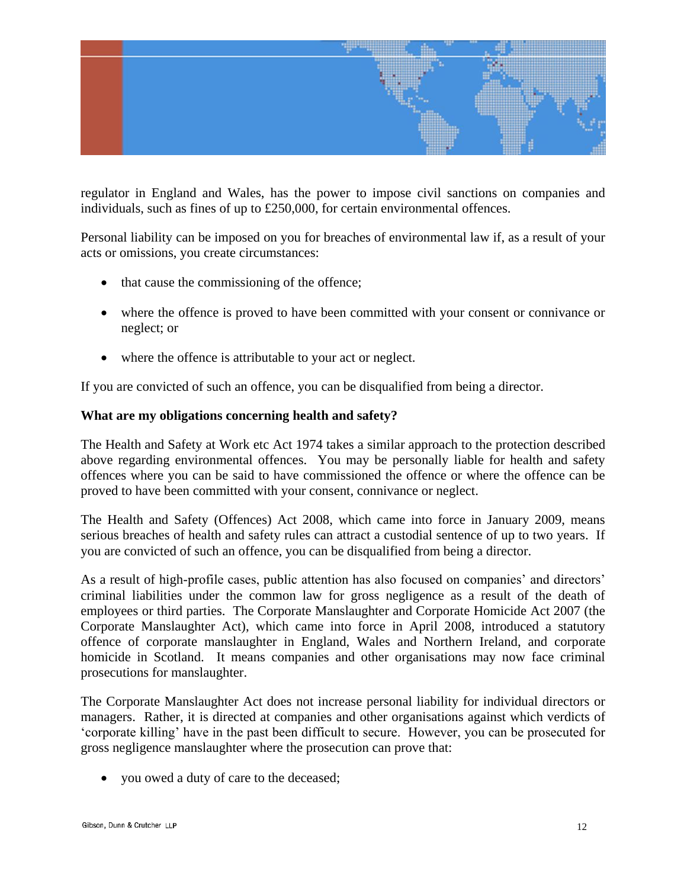

regulator in England and Wales, has the power to impose civil sanctions on companies and individuals, such as fines of up to £250,000, for certain environmental offences.

Personal liability can be imposed on you for breaches of environmental law if, as a result of your acts or omissions, you create circumstances:

- that cause the commissioning of the offence;
- where the offence is proved to have been committed with your consent or connivance or neglect; or
- where the offence is attributable to your act or neglect.

If you are convicted of such an offence, you can be disqualified from being a director.

#### **What are my obligations concerning health and safety?**

The Health and Safety at Work etc Act 1974 takes a similar approach to the protection described above regarding environmental offences. You may be personally liable for health and safety offences where you can be said to have commissioned the offence or where the offence can be proved to have been committed with your consent, connivance or neglect.

The Health and Safety (Offences) Act 2008, which came into force in January 2009, means serious breaches of health and safety rules can attract a custodial sentence of up to two years. If you are convicted of such an offence, you can be disqualified from being a director.

As a result of high-profile cases, public attention has also focused on companies' and directors' criminal liabilities under the common law for gross negligence as a result of the death of employees or third parties. The Corporate Manslaughter and Corporate Homicide Act 2007 (the Corporate Manslaughter Act), which came into force in April 2008, introduced a statutory offence of corporate manslaughter in England, Wales and Northern Ireland, and corporate homicide in Scotland. It means companies and other organisations may now face criminal prosecutions for manslaughter.

The Corporate Manslaughter Act does not increase personal liability for individual directors or managers. Rather, it is directed at companies and other organisations against which verdicts of "corporate killing" have in the past been difficult to secure. However, you can be prosecuted for gross negligence manslaughter where the prosecution can prove that:

you owed a duty of care to the deceased;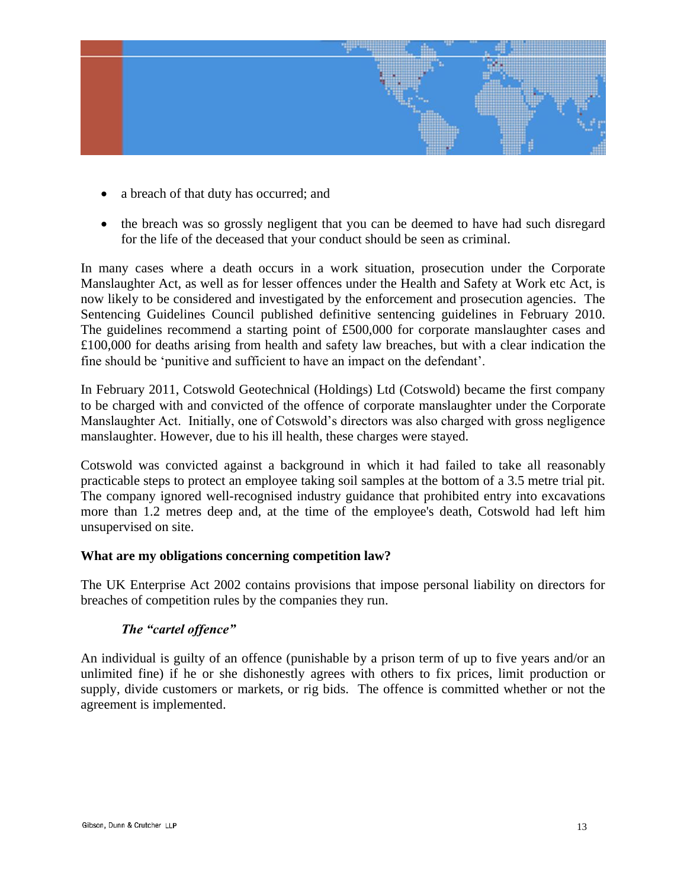

- a breach of that duty has occurred; and
- the breach was so grossly negligent that you can be deemed to have had such disregard for the life of the deceased that your conduct should be seen as criminal.

In many cases where a death occurs in a work situation, prosecution under the Corporate Manslaughter Act, as well as for lesser offences under the Health and Safety at Work etc Act, is now likely to be considered and investigated by the enforcement and prosecution agencies. The Sentencing Guidelines Council published definitive sentencing guidelines in February 2010. The guidelines recommend a starting point of £500,000 for corporate manslaughter cases and £100,000 for deaths arising from health and safety law breaches, but with a clear indication the fine should be "punitive and sufficient to have an impact on the defendant".

In February 2011, Cotswold Geotechnical (Holdings) Ltd (Cotswold) became the first company to be charged with and convicted of the offence of corporate manslaughter under the Corporate Manslaughter Act. Initially, one of Cotswold"s directors was also charged with gross negligence manslaughter. However, due to his ill health, these charges were stayed.

Cotswold was convicted against a background in which it had failed to take all reasonably practicable steps to protect an employee taking soil samples at the bottom of a 3.5 metre trial pit. The company ignored well-recognised industry guidance that prohibited entry into excavations more than 1.2 metres deep and, at the time of the employee's death, Cotswold had left him unsupervised on site.

#### **What are my obligations concerning competition law?**

The UK Enterprise Act 2002 contains provisions that impose personal liability on directors for breaches of competition rules by the companies they run.

#### *The "cartel offence"*

An individual is guilty of an offence (punishable by a prison term of up to five years and/or an unlimited fine) if he or she dishonestly agrees with others to fix prices, limit production or supply, divide customers or markets, or rig bids. The offence is committed whether or not the agreement is implemented.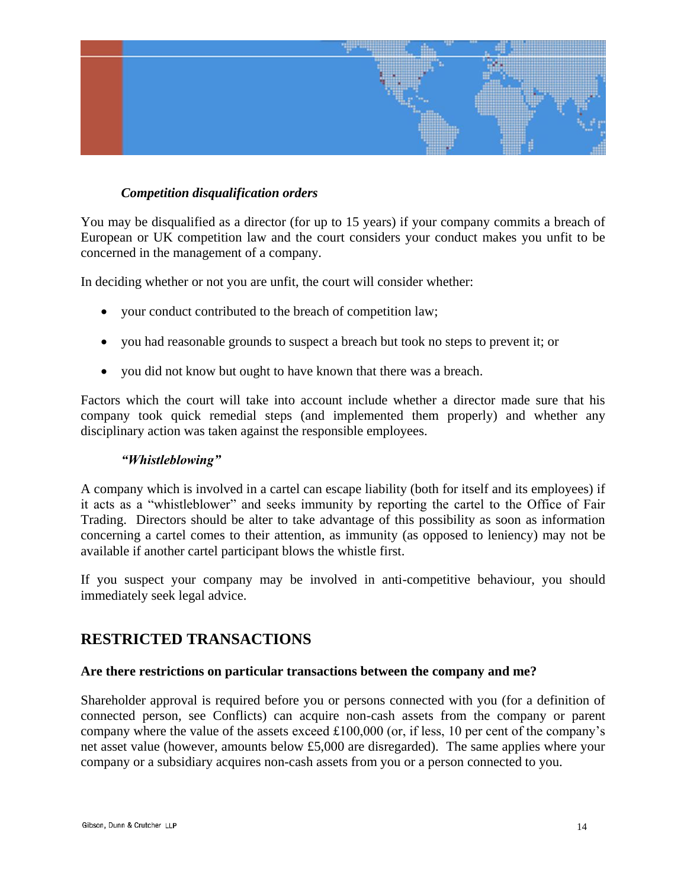

#### *Competition disqualification orders*

You may be disqualified as a director (for up to 15 years) if your company commits a breach of European or UK competition law and the court considers your conduct makes you unfit to be concerned in the management of a company.

In deciding whether or not you are unfit, the court will consider whether:

- your conduct contributed to the breach of competition law;
- you had reasonable grounds to suspect a breach but took no steps to prevent it; or
- you did not know but ought to have known that there was a breach.

Factors which the court will take into account include whether a director made sure that his company took quick remedial steps (and implemented them properly) and whether any disciplinary action was taken against the responsible employees.

#### *"Whistleblowing"*

A company which is involved in a cartel can escape liability (both for itself and its employees) if it acts as a "whistleblower" and seeks immunity by reporting the cartel to the Office of Fair Trading. Directors should be alter to take advantage of this possibility as soon as information concerning a cartel comes to their attention, as immunity (as opposed to leniency) may not be available if another cartel participant blows the whistle first.

If you suspect your company may be involved in anti-competitive behaviour, you should immediately seek legal advice.

### **RESTRICTED TRANSACTIONS**

#### **Are there restrictions on particular transactions between the company and me?**

Shareholder approval is required before you or persons connected with you (for a definition of connected person, see Conflicts) can acquire non-cash assets from the company or parent company where the value of the assets exceed £100,000 (or, if less, 10 per cent of the company"s net asset value (however, amounts below £5,000 are disregarded). The same applies where your company or a subsidiary acquires non-cash assets from you or a person connected to you.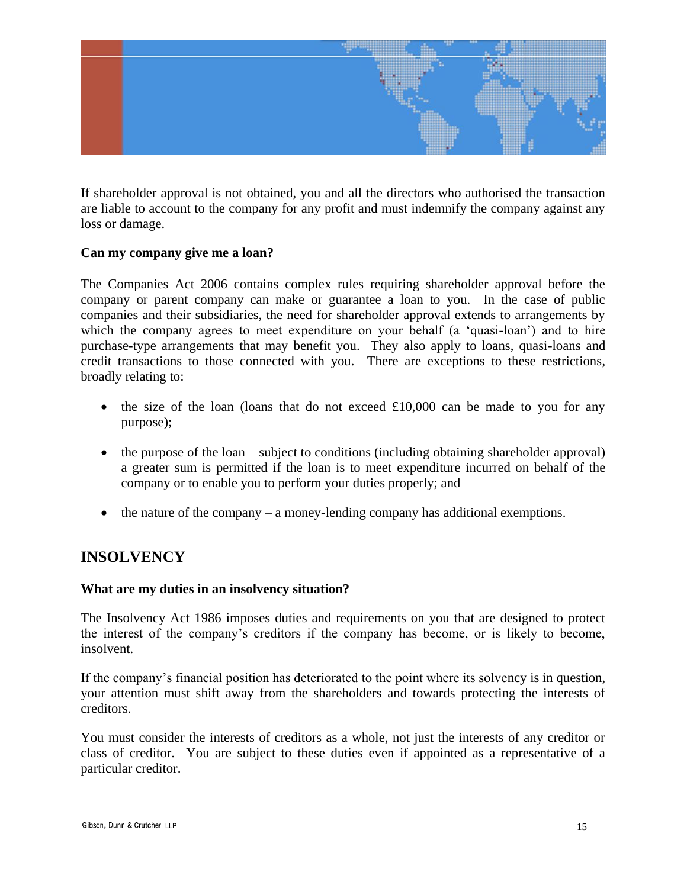

If shareholder approval is not obtained, you and all the directors who authorised the transaction are liable to account to the company for any profit and must indemnify the company against any loss or damage.

#### **Can my company give me a loan?**

The Companies Act 2006 contains complex rules requiring shareholder approval before the company or parent company can make or guarantee a loan to you. In the case of public companies and their subsidiaries, the need for shareholder approval extends to arrangements by which the company agrees to meet expenditure on your behalf (a 'quasi-loan') and to hire purchase-type arrangements that may benefit you. They also apply to loans, quasi-loans and credit transactions to those connected with you. There are exceptions to these restrictions, broadly relating to:

- $\bullet$  the size of the loan (loans that do not exceed £10,000 can be made to you for any purpose);
- the purpose of the loan subject to conditions (including obtaining shareholder approval) a greater sum is permitted if the loan is to meet expenditure incurred on behalf of the company or to enable you to perform your duties properly; and
- $\bullet$  the nature of the company a money-lending company has additional exemptions.

## **INSOLVENCY**

#### **What are my duties in an insolvency situation?**

The Insolvency Act 1986 imposes duties and requirements on you that are designed to protect the interest of the company"s creditors if the company has become, or is likely to become, insolvent.

If the company"s financial position has deteriorated to the point where its solvency is in question, your attention must shift away from the shareholders and towards protecting the interests of creditors.

You must consider the interests of creditors as a whole, not just the interests of any creditor or class of creditor. You are subject to these duties even if appointed as a representative of a particular creditor.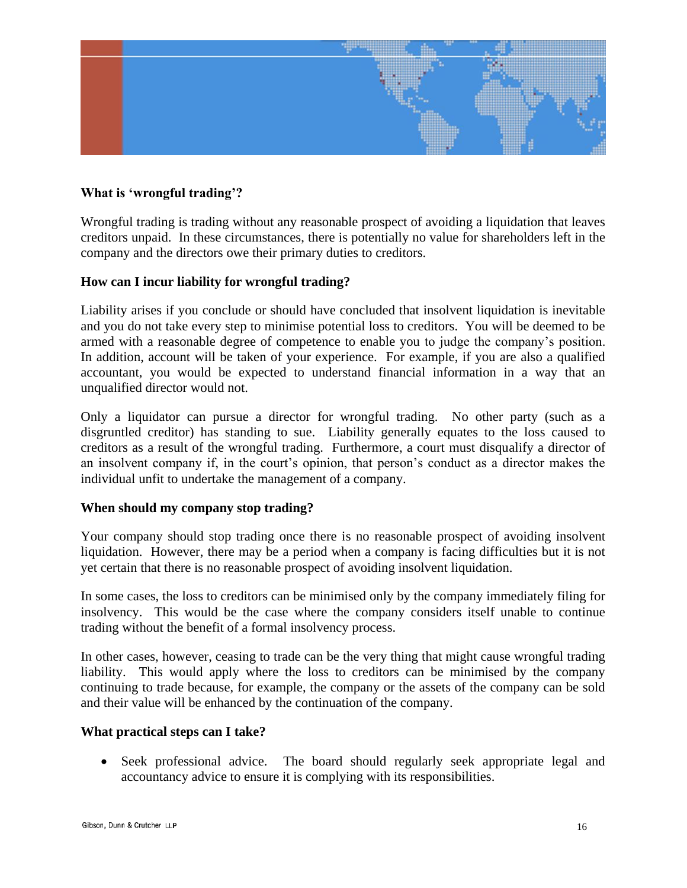

#### **What is 'wrongful trading'?**

Wrongful trading is trading without any reasonable prospect of avoiding a liquidation that leaves creditors unpaid. In these circumstances, there is potentially no value for shareholders left in the company and the directors owe their primary duties to creditors.

#### **How can I incur liability for wrongful trading?**

Liability arises if you conclude or should have concluded that insolvent liquidation is inevitable and you do not take every step to minimise potential loss to creditors. You will be deemed to be armed with a reasonable degree of competence to enable you to judge the company"s position. In addition, account will be taken of your experience. For example, if you are also a qualified accountant, you would be expected to understand financial information in a way that an unqualified director would not.

Only a liquidator can pursue a director for wrongful trading. No other party (such as a disgruntled creditor) has standing to sue. Liability generally equates to the loss caused to creditors as a result of the wrongful trading. Furthermore, a court must disqualify a director of an insolvent company if, in the court's opinion, that person's conduct as a director makes the individual unfit to undertake the management of a company.

#### **When should my company stop trading?**

Your company should stop trading once there is no reasonable prospect of avoiding insolvent liquidation. However, there may be a period when a company is facing difficulties but it is not yet certain that there is no reasonable prospect of avoiding insolvent liquidation.

In some cases, the loss to creditors can be minimised only by the company immediately filing for insolvency. This would be the case where the company considers itself unable to continue trading without the benefit of a formal insolvency process.

In other cases, however, ceasing to trade can be the very thing that might cause wrongful trading liability. This would apply where the loss to creditors can be minimised by the company continuing to trade because, for example, the company or the assets of the company can be sold and their value will be enhanced by the continuation of the company.

#### **What practical steps can I take?**

 Seek professional advice. The board should regularly seek appropriate legal and accountancy advice to ensure it is complying with its responsibilities.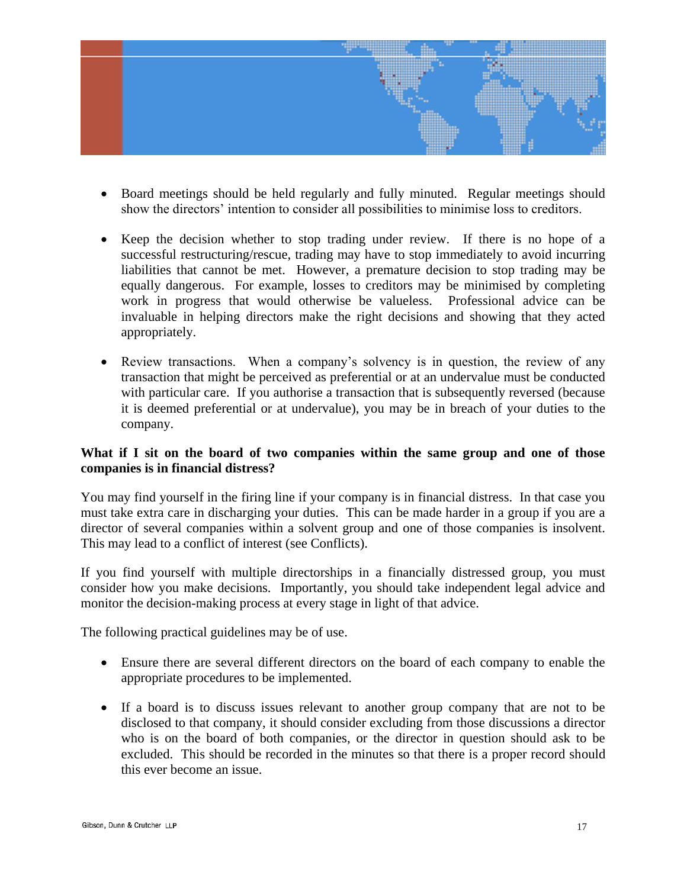

- Board meetings should be held regularly and fully minuted. Regular meetings should show the directors' intention to consider all possibilities to minimise loss to creditors.
- Keep the decision whether to stop trading under review. If there is no hope of a successful restructuring/rescue, trading may have to stop immediately to avoid incurring liabilities that cannot be met. However, a premature decision to stop trading may be equally dangerous. For example, losses to creditors may be minimised by completing work in progress that would otherwise be valueless. Professional advice can be invaluable in helping directors make the right decisions and showing that they acted appropriately.
- Review transactions. When a company's solvency is in question, the review of any transaction that might be perceived as preferential or at an undervalue must be conducted with particular care. If you authorise a transaction that is subsequently reversed (because it is deemed preferential or at undervalue), you may be in breach of your duties to the company.

#### **What if I sit on the board of two companies within the same group and one of those companies is in financial distress?**

You may find yourself in the firing line if your company is in financial distress. In that case you must take extra care in discharging your duties. This can be made harder in a group if you are a director of several companies within a solvent group and one of those companies is insolvent. This may lead to a conflict of interest (see Conflicts).

If you find yourself with multiple directorships in a financially distressed group, you must consider how you make decisions. Importantly, you should take independent legal advice and monitor the decision-making process at every stage in light of that advice.

The following practical guidelines may be of use.

- Ensure there are several different directors on the board of each company to enable the appropriate procedures to be implemented.
- If a board is to discuss issues relevant to another group company that are not to be disclosed to that company, it should consider excluding from those discussions a director who is on the board of both companies, or the director in question should ask to be excluded. This should be recorded in the minutes so that there is a proper record should this ever become an issue.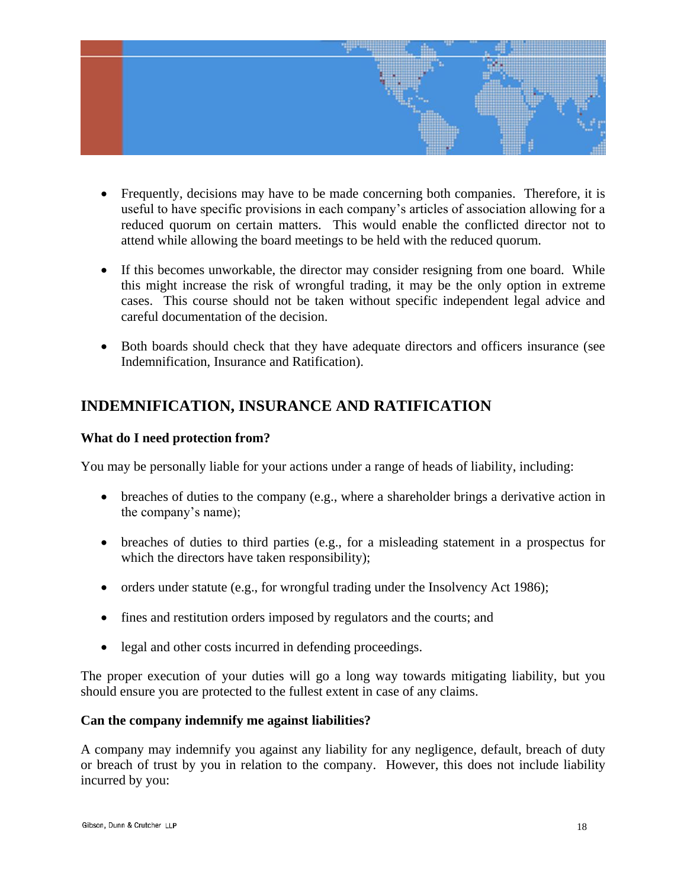

- Frequently, decisions may have to be made concerning both companies. Therefore, it is useful to have specific provisions in each company's articles of association allowing for a reduced quorum on certain matters. This would enable the conflicted director not to attend while allowing the board meetings to be held with the reduced quorum.
- If this becomes unworkable, the director may consider resigning from one board. While this might increase the risk of wrongful trading, it may be the only option in extreme cases. This course should not be taken without specific independent legal advice and careful documentation of the decision.
- Both boards should check that they have adequate directors and officers insurance (see Indemnification, Insurance and Ratification).

## **INDEMNIFICATION, INSURANCE AND RATIFICATION**

#### **What do I need protection from?**

You may be personally liable for your actions under a range of heads of liability, including:

- $\bullet$  breaches of duties to the company (e.g., where a shareholder brings a derivative action in the company's name);
- breaches of duties to third parties (e.g., for a misleading statement in a prospectus for which the directors have taken responsibility);
- orders under statute (e.g., for wrongful trading under the Insolvency Act 1986);
- fines and restitution orders imposed by regulators and the courts; and
- legal and other costs incurred in defending proceedings.

The proper execution of your duties will go a long way towards mitigating liability, but you should ensure you are protected to the fullest extent in case of any claims.

#### **Can the company indemnify me against liabilities?**

A company may indemnify you against any liability for any negligence, default, breach of duty or breach of trust by you in relation to the company. However, this does not include liability incurred by you: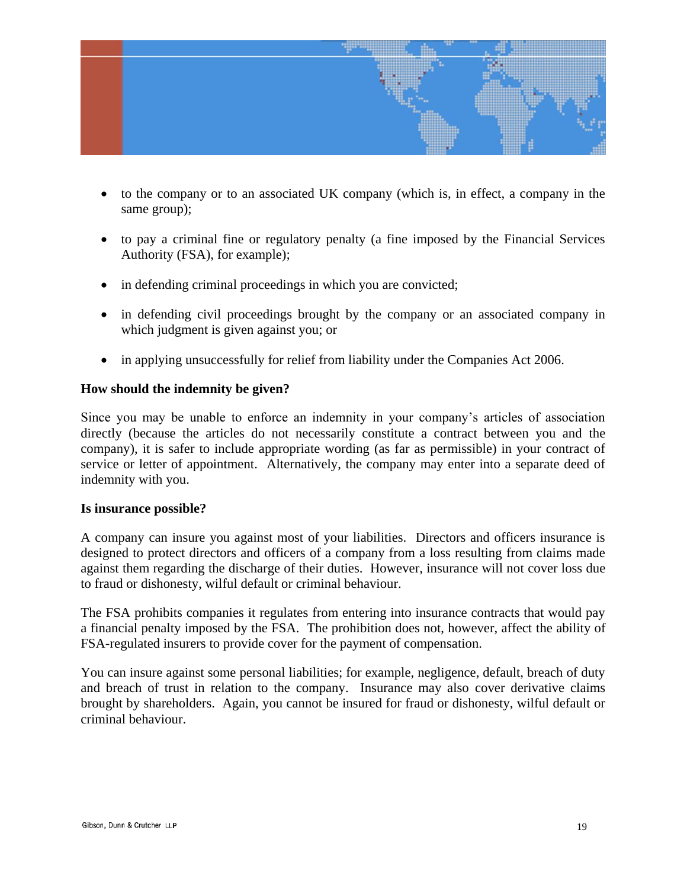

- to the company or to an associated UK company (which is, in effect, a company in the same group);
- to pay a criminal fine or regulatory penalty (a fine imposed by the Financial Services Authority (FSA), for example);
- in defending criminal proceedings in which you are convicted;
- in defending civil proceedings brought by the company or an associated company in which judgment is given against you; or
- in applying unsuccessfully for relief from liability under the Companies Act 2006.

#### **How should the indemnity be given?**

Since you may be unable to enforce an indemnity in your company"s articles of association directly (because the articles do not necessarily constitute a contract between you and the company), it is safer to include appropriate wording (as far as permissible) in your contract of service or letter of appointment. Alternatively, the company may enter into a separate deed of indemnity with you.

#### **Is insurance possible?**

A company can insure you against most of your liabilities. Directors and officers insurance is designed to protect directors and officers of a company from a loss resulting from claims made against them regarding the discharge of their duties. However, insurance will not cover loss due to fraud or dishonesty, wilful default or criminal behaviour.

The FSA prohibits companies it regulates from entering into insurance contracts that would pay a financial penalty imposed by the FSA. The prohibition does not, however, affect the ability of FSA-regulated insurers to provide cover for the payment of compensation.

You can insure against some personal liabilities; for example, negligence, default, breach of duty and breach of trust in relation to the company. Insurance may also cover derivative claims brought by shareholders. Again, you cannot be insured for fraud or dishonesty, wilful default or criminal behaviour.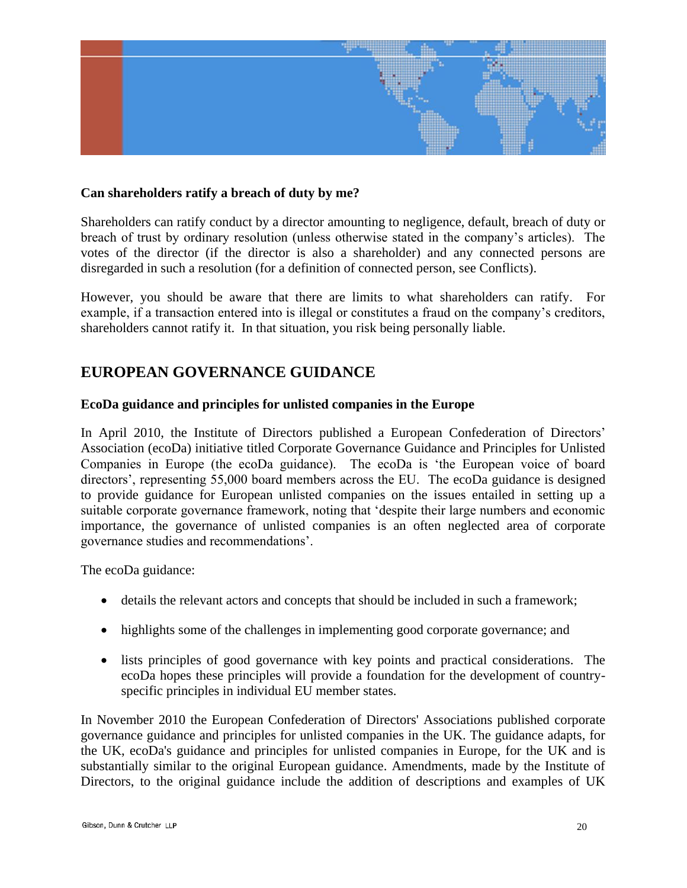

#### **Can shareholders ratify a breach of duty by me?**

Shareholders can ratify conduct by a director amounting to negligence, default, breach of duty or breach of trust by ordinary resolution (unless otherwise stated in the company"s articles). The votes of the director (if the director is also a shareholder) and any connected persons are disregarded in such a resolution (for a definition of connected person, see Conflicts).

However, you should be aware that there are limits to what shareholders can ratify. For example, if a transaction entered into is illegal or constitutes a fraud on the company"s creditors, shareholders cannot ratify it. In that situation, you risk being personally liable.

## **EUROPEAN GOVERNANCE GUIDANCE**

#### **EcoDa guidance and principles for unlisted companies in the Europe**

In April 2010, the Institute of Directors published a European Confederation of Directors' Association (ecoDa) initiative titled Corporate Governance Guidance and Principles for Unlisted Companies in Europe (the ecoDa guidance). The ecoDa is "the European voice of board directors', representing 55,000 board members across the EU. The ecoDa guidance is designed to provide guidance for European unlisted companies on the issues entailed in setting up a suitable corporate governance framework, noting that "despite their large numbers and economic importance, the governance of unlisted companies is an often neglected area of corporate governance studies and recommendations".

The ecoDa guidance:

- details the relevant actors and concepts that should be included in such a framework;
- highlights some of the challenges in implementing good corporate governance; and
- lists principles of good governance with key points and practical considerations. The ecoDa hopes these principles will provide a foundation for the development of countryspecific principles in individual EU member states.

In November 2010 the European Confederation of Directors' Associations published corporate governance guidance and principles for unlisted companies in the UK. The guidance adapts, for the UK, ecoDa's guidance and principles for unlisted companies in Europe, for the UK and is substantially similar to the original European guidance. Amendments, made by the Institute of Directors, to the original guidance include the addition of descriptions and examples of UK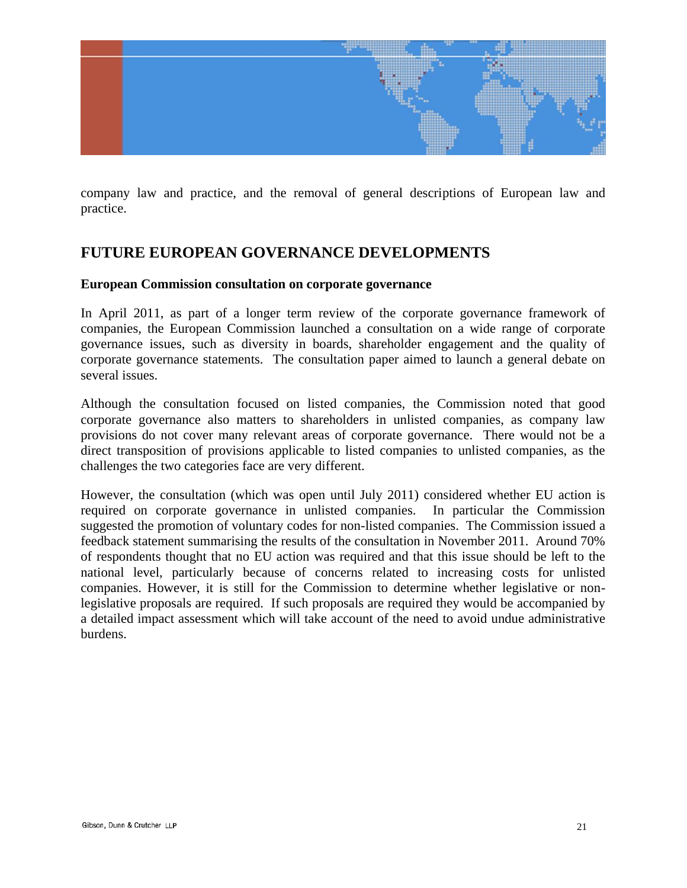

company law and practice, and the removal of general descriptions of European law and practice.

## **FUTURE EUROPEAN GOVERNANCE DEVELOPMENTS**

#### **European Commission consultation on corporate governance**

In April 2011, as part of a longer term review of the corporate governance framework of companies, the European Commission launched a consultation on a wide range of corporate governance issues, such as diversity in boards, shareholder engagement and the quality of corporate governance statements. The consultation paper aimed to launch a general debate on several issues.

Although the consultation focused on listed companies, the Commission noted that good corporate governance also matters to shareholders in unlisted companies, as company law provisions do not cover many relevant areas of corporate governance. There would not be a direct transposition of provisions applicable to listed companies to unlisted companies, as the challenges the two categories face are very different.

However, the consultation (which was open until July 2011) considered whether EU action is required on corporate governance in unlisted companies. In particular the Commission suggested the promotion of voluntary codes for non-listed companies. The Commission issued a feedback statement summarising the results of the consultation in November 2011. Around 70% of respondents thought that no EU action was required and that this issue should be left to the national level, particularly because of concerns related to increasing costs for unlisted companies. However, it is still for the Commission to determine whether legislative or nonlegislative proposals are required. If such proposals are required they would be accompanied by a detailed impact assessment which will take account of the need to avoid undue administrative burdens.